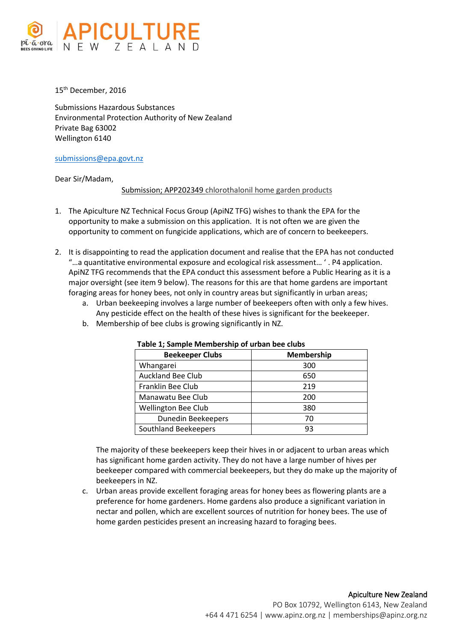

15 th December, 2016

Submissions Hazardous Substances Environmental Protection Authority of New Zealand Private Bag 63002 Wellington 6140

## [submissions@epa.govt.nz](mailto:submissions@epa.govt.nz)

Dear Sir/Madam,

Submission; APP202349 chlorothalonil home garden products

- 1. The Apiculture NZ Technical Focus Group (ApiNZ TFG) wishes to thank the EPA for the opportunity to make a submission on this application. It is not often we are given the opportunity to comment on fungicide applications, which are of concern to beekeepers.
- 2. It is disappointing to read the application document and realise that the EPA has not conducted "…a quantitative environmental exposure and ecological risk assessment… ' . P4 application. ApiNZ TFG recommends that the EPA conduct this assessment before a Public Hearing as it is a major oversight (see item 9 below). The reasons for this are that home gardens are important foraging areas for honey bees, not only in country areas but significantly in urban areas;
	- a. Urban beekeeping involves a large number of beekeepers often with only a few hives. Any pesticide effect on the health of these hives is significant for the beekeeper.
	- b. Membership of bee clubs is growing significantly in NZ.

| <b>Beekeeper Clubs</b>     | <b>Membership</b> |
|----------------------------|-------------------|
| Whangarei                  | 300               |
| <b>Auckland Bee Club</b>   | 650               |
| Franklin Bee Club          | 219               |
| Manawatu Bee Club          | 200               |
| <b>Wellington Bee Club</b> | 380               |
| Dunedin Beekeepers         | 70                |
| Southland Beekeepers       | 93                |

## **Table 1; Sample Membership of urban bee clubs**

The majority of these beekeepers keep their hives in or adjacent to urban areas which has significant home garden activity. They do not have a large number of hives per beekeeper compared with commercial beekeepers, but they do make up the majority of beekeepers in NZ.

c. Urban areas provide excellent foraging areas for honey bees as flowering plants are a preference for home gardeners. Home gardens also produce a significant variation in nectar and pollen, which are excellent sources of nutrition for honey bees. The use of home garden pesticides present an increasing hazard to foraging bees.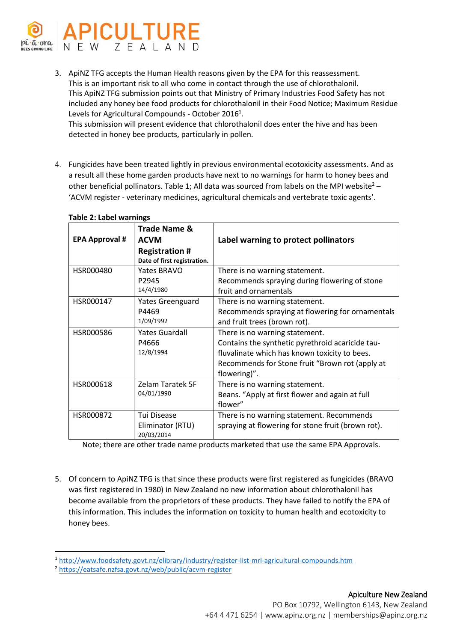

3. ApiNZ TFG accepts the Human Health reasons given by the EPA for this reassessment. This is an important risk to all who come in contact through the use of chlorothalonil. This ApiNZ TFG submission points out that Ministry of Primary Industries Food Safety has not included any honey bee food products for chlorothalonil in their Food Notice; Maximum Residue Levels for Agricultural Compounds - October 2016<sup>1</sup>.

This submission will present evidence that chlorothalonil does enter the hive and has been detected in honey bee products, particularly in pollen.

4. Fungicides have been treated lightly in previous environmental ecotoxicity assessments. And as a result all these home garden products have next to no warnings for harm to honey bees and other beneficial pollinators. Table 1; All data was sourced from labels on the MPI website<sup>2</sup> – 'ACVM register - veterinary medicines, agricultural chemicals and vertebrate toxic agents'.

| <b>EPA Approval #</b> | <b>Trade Name &amp;</b><br><b>ACVM</b><br><b>Registration #</b><br>Date of first registration. | Label warning to protect pollinators                                                                                                                                                                   |
|-----------------------|------------------------------------------------------------------------------------------------|--------------------------------------------------------------------------------------------------------------------------------------------------------------------------------------------------------|
| HSR000480             | <b>Yates BRAVO</b><br>P2945<br>14/4/1980                                                       | There is no warning statement.<br>Recommends spraying during flowering of stone<br>fruit and ornamentals                                                                                               |
| HSR000147             | Yates Greenguard<br>P4469<br>1/09/1992                                                         | There is no warning statement.<br>Recommends spraying at flowering for ornamentals<br>and fruit trees (brown rot).                                                                                     |
| HSR000586             | <b>Yates Guardall</b><br>P4666<br>12/8/1994                                                    | There is no warning statement.<br>Contains the synthetic pyrethroid acaricide tau-<br>fluvalinate which has known toxicity to bees.<br>Recommends for Stone fruit "Brown rot (apply at<br>flowering)". |
| HSR000618             | <b>Zelam Taratek 5F</b><br>04/01/1990                                                          | There is no warning statement.<br>Beans. "Apply at first flower and again at full<br>flower"                                                                                                           |
| HSR000872             | Tui Disease<br>Eliminator (RTU)<br>20/03/2014                                                  | There is no warning statement. Recommends<br>spraying at flowering for stone fruit (brown rot).                                                                                                        |

## **Table 2: Label warnings**

Note; there are other trade name products marketed that use the same EPA Approvals.

5. Of concern to ApiNZ TFG is that since these products were first registered as fungicides (BRAVO was first registered in 1980) in New Zealand no new information about chlorothalonil has become available from the proprietors of these products. They have failed to notify the EPA of this information. This includes the information on toxicity to human health and ecotoxicity to honey bees.

**.** 

<sup>1</sup> <http://www.foodsafety.govt.nz/elibrary/industry/register-list-mrl-agricultural-compounds.htm>

<sup>2</sup> <https://eatsafe.nzfsa.govt.nz/web/public/acvm-register>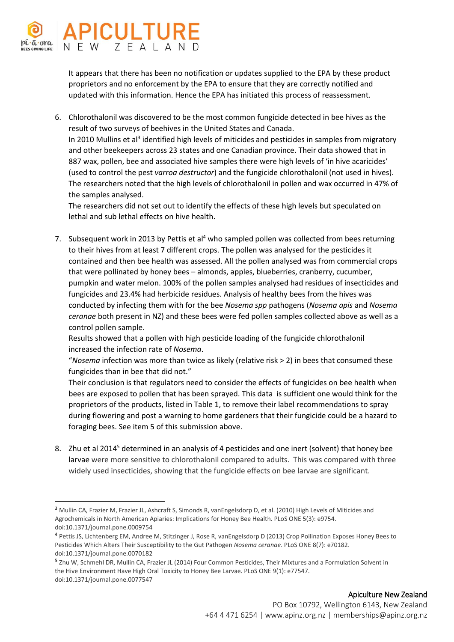

1

It appears that there has been no notification or updates supplied to the EPA by these product proprietors and no enforcement by the EPA to ensure that they are correctly notified and updated with this information. Hence the EPA has initiated this process of reassessment.

6. Chlorothalonil was discovered to be the most common fungicide detected in bee hives as the result of two surveys of beehives in the United States and Canada. In 2010 Mullins et al<sup>3</sup> identified high levels of miticides and pesticides in samples from migratory and other beekeepers across 23 states and one Canadian province. Their data showed that in 887 wax, pollen, bee and associated hive samples there were high levels of 'in hive acaricides' (used to control the pest *varroa destructor*) and the fungicide chlorothalonil (not used in hives). The researchers noted that the high levels of chlorothalonil in pollen and wax occurred in 47% of the samples analysed.

The researchers did not set out to identify the effects of these high levels but speculated on lethal and sub lethal effects on hive health.

7. Subsequent work in 2013 by Pettis et al<sup>4</sup> who sampled pollen was collected from bees returning to their hives from at least 7 different crops. The pollen was analysed for the pesticides it contained and then bee health was assessed. All the pollen analysed was from commercial crops that were pollinated by honey bees – almonds, apples, blueberries, cranberry, cucumber, pumpkin and water melon. 100% of the pollen samples analysed had residues of insecticides and fungicides and 23.4% had herbicide residues. Analysis of healthy bees from the hives was conducted by infecting them with for the bee *Nosema spp* pathogens (*Nosema apis* and *Nosema ceranae* both present in NZ) and these bees were fed pollen samples collected above as well as a control pollen sample.

Results showed that a pollen with high pesticide loading of the fungicide chlorothalonil increased the infection rate of *Nosema*.

"*Nosema* infection was more than twice as likely (relative risk > 2) in bees that consumed these fungicides than in bee that did not."

Their conclusion is that regulators need to consider the effects of fungicides on bee health when bees are exposed to pollen that has been sprayed. This data is sufficient one would think for the proprietors of the products, listed in Table 1, to remove their label recommendations to spray during flowering and post a warning to home gardeners that their fungicide could be a hazard to foraging bees. See item 5 of this submission above.

8. Zhu et al 2014<sup>5</sup> determined in an analysis of 4 pesticides and one inert (solvent) that honey bee larvae were more sensitive to chlorothalonil compared to adults. This was compared with three widely used insecticides, showing that the fungicide effects on bee larvae are significant.

<sup>&</sup>lt;sup>3</sup> Mullin CA, Frazier M, Frazier JL, Ashcraft S, Simonds R, vanEngelsdorp D, et al. (2010) High Levels of Miticides and Agrochemicals in North American Apiaries: Implications for Honey Bee Health. PLoS ONE 5(3): e9754. doi:10.1371/journal.pone.0009754

<sup>4</sup> Pettis JS, Lichtenberg EM, Andree M, Stitzinger J, Rose R, vanEngelsdorp D (2013) Crop Pollination Exposes Honey Bees to Pesticides Which Alters Their Susceptibility to the Gut Pathogen *Nosema ceranae*. PLoS ONE 8(7): e70182. doi:10.1371/journal.pone.0070182

<sup>&</sup>lt;sup>5</sup> Zhu W, Schmehl DR, Mullin CA, Frazier JL (2014) Four Common Pesticides, Their Mixtures and a Formulation Solvent in the Hive Environment Have High Oral Toxicity to Honey Bee Larvae. PLoS ONE 9(1): e77547. doi:10.1371/journal.pone.0077547